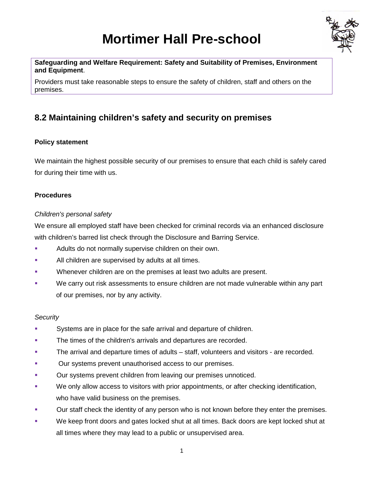# **Mortimer Hall Pre-school**



**Safeguarding and Welfare Requirement: Safety and Suitability of Premises, Environment and Equipment**.

Providers must take reasonable steps to ensure the safety of children, staff and others on the premises.

## **8.2 Maintaining children's safety and security on premises**

#### **Policy statement**

We maintain the highest possible security of our premises to ensure that each child is safely cared for during their time with us.

#### **Procedures**

#### *Children's personal safety*

We ensure all employed staff have been checked for criminal records via an enhanced disclosure with children's barred list check through the Disclosure and Barring Service.

- Adults do not normally supervise children on their own.
- **All children are supervised by adults at all times.**
- **Whenever children are on the premises at least two adults are present.**
- We carry out risk assessments to ensure children are not made vulnerable within any part of our premises, nor by any activity.

#### *Security*

- Systems are in place for the safe arrival and departure of children.
- The times of the children's arrivals and departures are recorded.
- **The arrival and departure times of adults staff, volunteers and visitors are recorded.**
- **Dur systems prevent unauthorised access to our premises.**
- Our systems prevent children from leaving our premises unnoticed.
- We only allow access to visitors with prior appointments, or after checking identification, who have valid business on the premises.
- **Dur staff check the identity of any person who is not known before they enter the premises.**
- We keep front doors and gates locked shut at all times. Back doors are kept locked shut at all times where they may lead to a public or unsupervised area.